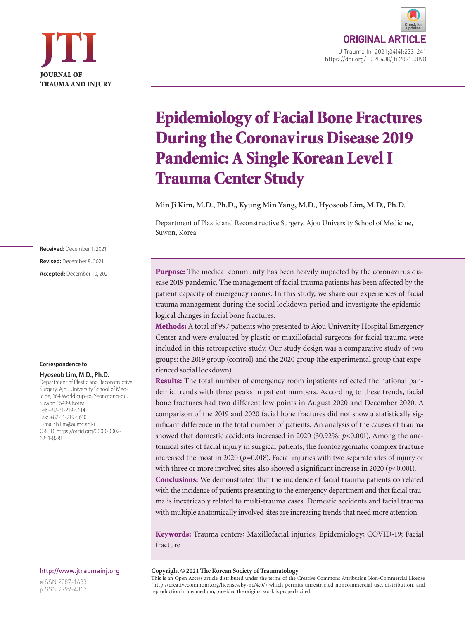



# Epidemiology of Facial Bone Fractures During the Coronavirus Disease 2019 Pandemic: A Single Korean Level I Trauma Center Study

**Min Ji Kim, M.D., Ph.D., Kyung Min Yang, M.D., Hyoseob Lim, M.D., Ph.D.**

Department of Plastic and Reconstructive Surgery, Ajou University School of Medicine, Suwon, Korea

**Received:** December 1, 2021 **Revised:** December 8, 2021 **Accepted:** December 10, 2021

#### **Correspondence to**

#### **Hyoseob Lim, M.D., Ph.D.**

Department of Plastic and Reconstructive Surgery, Ajou University School of Medicine, 164 World cup-ro, Yeongtong-gu, Suwon 16499, Korea Tel: +82-31-219-5614 Fax: +82-31-219-5610 E-mail: h.lim@aumc.ac.kr ORCID: https://orcid.org/0000-0002- 6251-8281

#### http://www.jtraumainj.org

eISSN 2287-1683 pISSN 2799-4317 Purpose: The medical community has been heavily impacted by the coronavirus disease 2019 pandemic. The management of facial trauma patients has been affected by the patient capacity of emergency rooms. In this study, we share our experiences of facial trauma management during the social lockdown period and investigate the epidemiological changes in facial bone fractures.

Methods: A total of 997 patients who presented to Ajou University Hospital Emergency Center and were evaluated by plastic or maxillofacial surgeons for facial trauma were included in this retrospective study. Our study design was a comparative study of two groups: the 2019 group (control) and the 2020 group (the experimental group that experienced social lockdown).

Results: The total number of emergency room inpatients reflected the national pandemic trends with three peaks in patient numbers. According to these trends, facial bone fractures had two different low points in August 2020 and December 2020. A comparison of the 2019 and 2020 facial bone fractures did not show a statistically significant difference in the total number of patients. An analysis of the causes of trauma showed that domestic accidents increased in 2020 (30.92%; *p*<0.001). Among the anatomical sites of facial injury in surgical patients, the frontozygomatic complex fracture increased the most in 2020 ( $p=0.018$ ). Facial injuries with two separate sites of injury or with three or more involved sites also showed a significant increase in 2020 (*p*<0.001). Conclusions: We demonstrated that the incidence of facial trauma patients correlated

with the incidence of patients presenting to the emergency department and that facial trauma is inextricably related to multi-trauma cases. Domestic accidents and facial trauma with multiple anatomically involved sites are increasing trends that need more attention.

Keywords: Trauma centers; Maxillofacial injuries; Epidemiology; COVID-19; Facial fracture

#### **Copyright © 2021 The Korean Society of Traumatology**

This is an Open Access article distributed under the terms of the Creative Commons Attribution Non-Commercial License (http://creativecommons.org/licenses/by-nc/4.0/) which permits unrestricted noncommercial use, distribution, and reproduction in any medium, provided the original work is properly cited.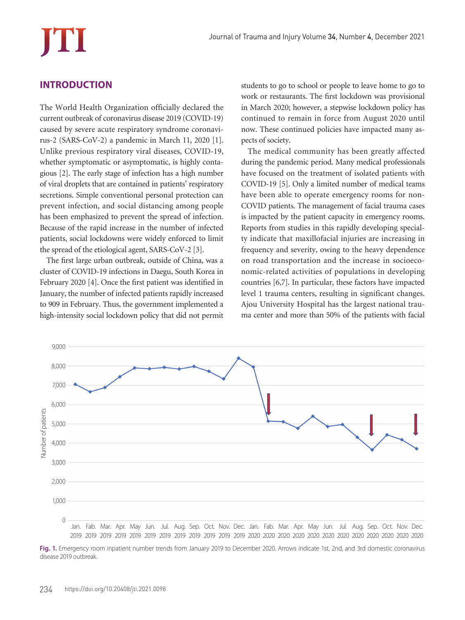# **INTRODUCTION**

The World Health Organization officially declared the current outbreak of coronavirus disease 2019 (COVID-19) caused by severe acute respiratory syndrome coronavirus-2 (SARS-CoV-2) a pandemic in March 11, 2020 [1]. Unlike previous respiratory viral diseases, COVID-19, whether symptomatic or asymptomatic, is highly contagious [2]. The early stage of infection has a high number of viral droplets that are contained in patients' respiratory secretions. Simple conventional personal protection can prevent infection, and social distancing among people has been emphasized to prevent the spread of infection. Because of the rapid increase in the number of infected patients, social lockdowns were widely enforced to limit the spread of the etiological agent, SARS-CoV-2 [3].

The first large urban outbreak, outside of China, was a cluster of COVID-19 infections in Daegu, South Korea in February 2020 [4]. Once the first patient was identified in January, the number of infected patients rapidly increased to 909 in February. Thus, the government implemented a high-intensity social lockdown policy that did not permit

students to go to school or people to leave home to go to work or restaurants. The first lockdown was provisional in March 2020; however, a stepwise lockdown policy has continued to remain in force from August 2020 until now. These continued policies have impacted many aspects of society.

The medical community has been greatly affected during the pandemic period. Many medical professionals have focused on the treatment of isolated patients with COVID-19 [5]. Only a limited number of medical teams have been able to operate emergency rooms for non-COVID patients. The management of facial trauma cases is impacted by the patient capacity in emergency rooms. Reports from studies in this rapidly developing specialty indicate that maxillofacial injuries are increasing in frequency and severity, owing to the heavy dependence on road transportation and the increase in socioeconomic-related activities of populations in developing countries [6,7]. In particular, these factors have impacted level 1 trauma centers, resulting in significant changes. Ajou University Hospital has the largest national trauma center and more than 50% of the patients with facial



**Fig. 1.** Emergency room inpatient number trends from January 2019 to December 2020. Arrows indicate 1st, 2nd, and 3rd domestic coronavirus disease 2019 outbreak.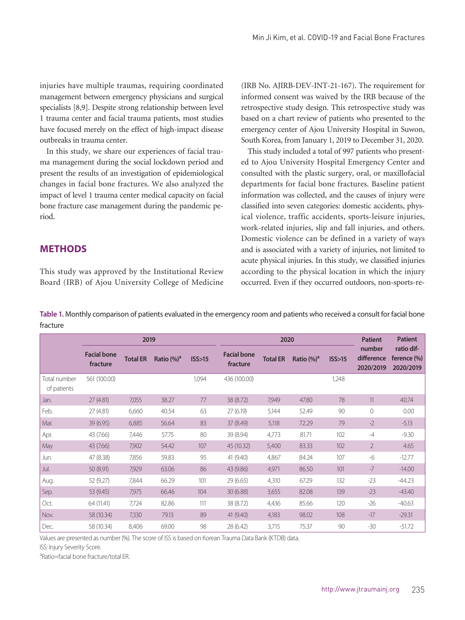injuries have multiple traumas, requiring coordinated management between emergency physicians and surgical specialists [8,9]. Despite strong relationship between level 1 trauma center and facial trauma patients, most studies have focused merely on the effect of high-impact disease outbreaks in trauma center.

In this study, we share our experiences of facial trauma management during the social lockdown period and present the results of an investigation of epidemiological changes in facial bone fractures. We also analyzed the impact of level 1 trauma center medical capacity on facial bone fracture case management during the pandemic period.

**METHODS**

This study was approved by the Institutional Review Board (IRB) of Ajou University College of Medicine

(IRB No. AJIRB-DEV-INT-21-167). The requirement for informed consent was waived by the IRB because of the retrospective study design. This retrospective study was based on a chart review of patients who presented to the emergency center of Ajou University Hospital in Suwon, South Korea, from January 1, 2019 to December 31, 2020.

This study included a total of 997 patients who presented to Ajou University Hospital Emergency Center and consulted with the plastic surgery, oral, or maxillofacial departments for facial bone fractures. Baseline patient information was collected, and the causes of injury were classified into seven categories: domestic accidents, physical violence, traffic accidents, sports-leisure injuries, work-related injuries, slip and fall injuries, and others. Domestic violence can be defined in a variety of ways and is associated with a variety of injuries, not limited to acute physical injuries. In this study, we classified injuries according to the physical location in which the injury occurred. Even if they occurred outdoors, non-sports-re-

**Table 1.** Monthly comparison of patients evaluated in the emergency room and patients who received a consult for facial bone fracture

|                             | 2019                           |                 |                | 2020   |                                |                 |                | <b>Patient</b> | <b>Patient</b>                    |                                            |
|-----------------------------|--------------------------------|-----------------|----------------|--------|--------------------------------|-----------------|----------------|----------------|-----------------------------------|--------------------------------------------|
|                             | <b>Facial bone</b><br>fracture | <b>Total ER</b> | Ratio $(\%)^a$ | ISS>15 | <b>Facial bone</b><br>fracture | <b>Total ER</b> | Ratio $(\%)^a$ | ISS>15         | number<br>difference<br>2020/2019 | ratio dif-<br>ference $(\% )$<br>2020/2019 |
| Total number<br>of patients | 561 (100.00)                   |                 |                | 1,094  | 436 (100.00)                   |                 |                | 1,248          |                                   |                                            |
| Jan.                        | 27(4.81)                       | 7,055           | 38.27          | 77     | 38 (8.72)                      | 7,949           | 47.80          | 78             | 11                                | 40.74                                      |
| Feb.                        | 27(4.81)                       | 6,660           | 40.54          | 63     | 27(6.19)                       | 5,144           | 52.49          | 90             | $\mathbf{0}$                      | 0.00                                       |
| Mar.                        | 39(6.95)                       | 6,885           | 56.64          | 83     | 37 (8.49)                      | 5,118           | 72.29          | 79             | $-2$                              | $-5.13$                                    |
| Apr.                        | 43 (7.66)                      | 7,446           | 57.75          | 80     | 39 (8.94)                      | 4,773           | 81.71          | 102            | $-4$                              | $-9.30$                                    |
| May                         | 43 (7.66)                      | 7,902           | 54.42          | 107    | 45 (10.32)                     | 5,400           | 83.33          | 102            | $\overline{2}$                    | 4.65                                       |
| Jun.                        | 47 (8.38)                      | 7,856           | 59.83          | 95     | 41 (9.40)                      | 4,867           | 84.24          | 107            | $-6$                              | $-12.77$                                   |
| Jul.                        | 50 (8.91)                      | 7,929           | 63.06          | 86     | 43 (9.86)                      | 4,971           | 86.50          | 101            | $-7$                              | $-14.00$                                   |
| Aug.                        | 52 (9.27)                      | 7,844           | 66.29          | 101    | 29(6.65)                       | 4,310           | 67.29          | 132            | $-23$                             | $-44.23$                                   |
| Sep.                        | 53 (9.45)                      | 7,975           | 66.46          | 104    | 30(6.88)                       | 3,655           | 82.08          | 139            | $-23$                             | $-43.40$                                   |
| Oct.                        | 64 (11.41)                     | 7,724           | 82.86          | 111    | 38 (8.72)                      | 4,436           | 85.66          | 120            | $-26$                             | $-40.63$                                   |
| Nov.                        | 58 (10.34)                     | 7,330           | 79.13          | 89     | 41 (9.40)                      | 4,183           | 98.02          | 108            | $-17$                             | $-29.31$                                   |
| Dec.                        | 58 (10.34)                     | 8,406           | 69.00          | 98     | 28 (6.42)                      | 3,715           | 75.37          | 90             | $-30$                             | $-51.72$                                   |

Values are presented as number (%). The score of ISS is based on Korean Trauma Data Bank (KTDB) data.

ISS: Injury Severity Score.

aRatio=facial bone fracture/total ER.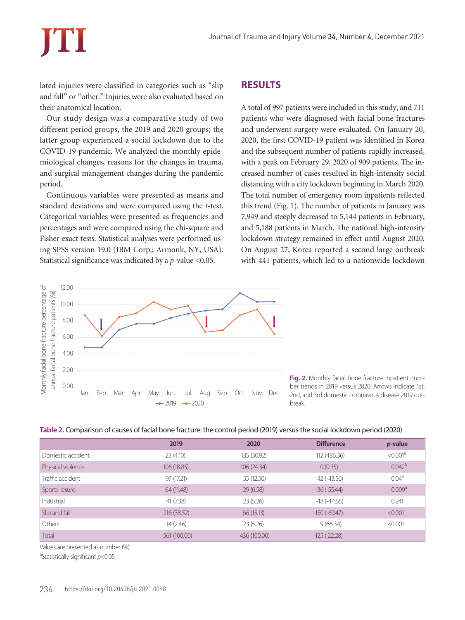lated injuries were classified in categories such as "slip and fall" or "other." Injuries were also evaluated based on their anatomical location.

Our study design was a comparative study of two different period groups, the 2019 and 2020 groups; the latter group experienced a social lockdown due to the COVID-19 pandemic. We analyzed the monthly epidemiological changes, reasons for the changes in trauma, and surgical management changes during the pandemic period.

Continuous variables were presented as means and standard deviations and were compared using the *t*-test. Categorical variables were presented as frequencies and percentages and were compared using the chi-square and Fisher exact tests. Statistical analyses were performed using SPSS version 19.0 (IBM Corp.; Armonk, NY, USA). Statistical significance was indicated by a *p-*value <0.05.

### 12.00 Monthly facial bone fracture percentage of Monthly facial bone fracture percentage of annual facial bone fracture patients (%) annual facial bone fracture patients (%) 10.00 8.00 6.00 4.00 2.00 0.00 Jan. Feb. Mar. Apr. May Jun. Jul. Aug. Sep. Oct. Nov. Dec.  $-2019 - 2020$

## **RESULTS**

A total of 997 patients were included in this study, and 711 patients who were diagnosed with facial bone fractures and underwent surgery were evaluated. On January 20, 2020, the first COVID-19 patient was identified in Korea and the subsequent number of patients rapidly increased, with a peak on February 29, 2020 of 909 patients. The increased number of cases resulted in high-intensity social distancing with a city lockdown beginning in March 2020. The total number of emergency room inpatients reflected this trend (Fig. 1). The number of patients in January was 7,949 and steeply decreased to 5,144 patients in February, and 5,188 patients in March. The national high-intensity lockdown strategy remained in effect until August 2020. On August 27, Korea reported a second large outbreak with 441 patients, which led to a nationwide lockdown

> **Fig. 2.** Monthly facial bone fracture inpatient number trends in 2019 versus 2020. Arrows indicate 1st, 2nd, and 3rd domestic coronavirus disease 2019 outbreak.

| Table 2. Comparison of causes of facial bone fracture: the control period (2019) versus the social lockdown period (2020) |  |  |
|---------------------------------------------------------------------------------------------------------------------------|--|--|
|---------------------------------------------------------------------------------------------------------------------------|--|--|

|                   | 2019         | 2020         | <b>Difference</b>  | <i>p</i> -value      |
|-------------------|--------------|--------------|--------------------|----------------------|
| Domestic accident | 23(4.10)     | 135 (30.92)  | 112 (486.36)       | < 0.001 <sup>a</sup> |
| Physical violence | 106 (18.85)  | 106(24.34)   | 0(0.35)            | 0.042 <sup>a</sup>   |
| Traffic accident  | 97 (17.21)   | 55 (12.50)   | $-42$ ( $-43.56$ ) | 0.04 <sup>a</sup>    |
| Sports-lesure     | 64 (11.48)   | 29(6.58)     | $-36(-55.44)$      | 0.009 <sup>a</sup>   |
| Industrial        | 41 (7.38)    | 23(5.26)     | $-18(-44.55)$      | 0.241                |
| Slip and fall     | 216 (38.52)  | 66 (15.13)   | $-150(-69.47)$     | < 0.001              |
| Others            | 14 (2.46)    | 23(5.26)     | 9(66.34)           | < 0.001              |
| Total             | 561 (100.00) | 436 (100.00) | $-125$ $(-22.28)$  |                      |

Values are presented as number (%).

a Statistically significant *p*<0.05.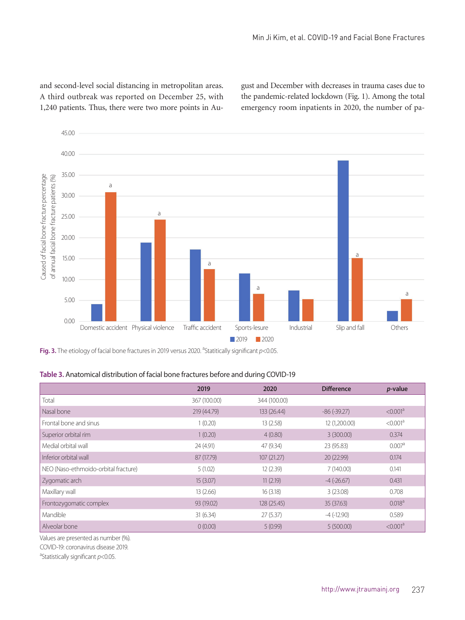and second-level social distancing in metropolitan areas. A third outbreak was reported on December 25, with 1,240 patients. Thus, there were two more points in August and December with decreases in trauma cases due to the pandemic-related lockdown (Fig. 1). Among the total emergency room inpatients in 2020, the number of pa-



Fig. 3. The etiology of facial bone fractures in 2019 versus 2020. <sup>a</sup>Statitically significant p<0.05.

| Table 3. Anatomical distribution of facial bone fractures before and during COVID-19 |  |  |
|--------------------------------------------------------------------------------------|--|--|
|--------------------------------------------------------------------------------------|--|--|

|                                      | 2019         | 2020         | <b>Difference</b> | $p$ -value           |
|--------------------------------------|--------------|--------------|-------------------|----------------------|
| Total                                | 367 (100.00) | 344 (100.00) |                   |                      |
| Nasal bone                           | 219 (44.79)  | 133 (26.44)  | $-86(-39.27)$     | < 0.001 <sup>a</sup> |
| Frontal bone and sinus               | 1(0.20)      | 13(2.58)     | 12 (1,200.00)     | < 0.001 <sup>a</sup> |
| Superior orbital rim                 | 1(0.20)      | 4(0.80)      | 3(300.00)         | 0.374                |
| Medial orbital wall                  | 24 (4.91)    | 47 (9.34)    | 23 (95.83)        | 0.007 <sup>a</sup>   |
| Inferior orbital wall                | 87 (17.79)   | 107(21.27)   | 20 (22.99)        | 0.174                |
| NEO (Naso-ethmoido-orbital fracture) | 5(1.02)      | 12(2.39)     | 7(140.00)         | 0.141                |
| Zygomatic arch                       | 15(3.07)     | 11(2.19)     | $-4$ $(-26.67)$   | 0.431                |
| Maxillary wall                       | 13(2.66)     | 16(3.18)     | 3(23.08)          | 0.708                |
| Frontozygomatic complex              | 93 (19.02)   | 128 (25.45)  | 35(37.63)         | 0.018 <sup>a</sup>   |
| <b>Mandible</b>                      | 31(6.34)     | 27(5.37)     | $-4$ ( $-12.90$ ) | 0.589                |
| Alveolar bone                        | 0(0.00)      | 5(0.99)      | 5(500.00)         | < 0.001 <sup>a</sup> |

Values are presented as number (%).

COVID-19: coronavirus disease 2019.

a Statistically significant *p*<0.05.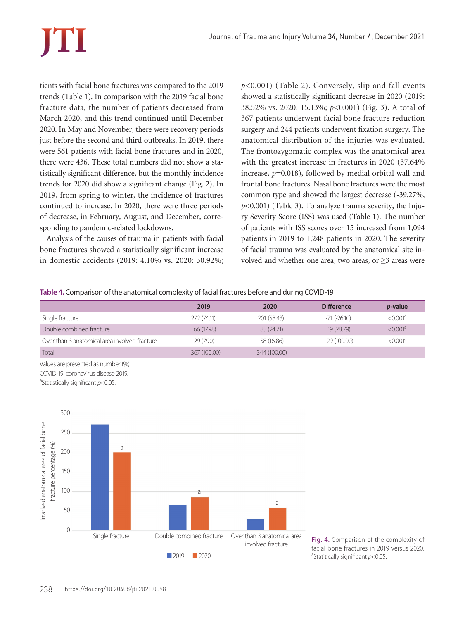tients with facial bone fractures was compared to the 2019 trends (Table 1). In comparison with the 2019 facial bone fracture data, the number of patients decreased from March 2020, and this trend continued until December 2020. In May and November, there were recovery periods just before the second and third outbreaks. In 2019, there were 561 patients with facial bone fractures and in 2020, there were 436. These total numbers did not show a statistically significant difference, but the monthly incidence trends for 2020 did show a significant change (Fig. 2). In 2019, from spring to winter, the incidence of fractures continued to increase. In 2020, there were three periods of decrease, in February, August, and December, corresponding to pandemic-related lockdowns.

Analysis of the causes of trauma in patients with facial bone fractures showed a statistically significant increase in domestic accidents (2019: 4.10% vs. 2020: 30.92%; *p*<0.001) (Table 2). Conversely, slip and fall events showed a statistically significant decrease in 2020 (2019: 38.52% vs. 2020: 15.13%; *p*<0.001) (Fig. 3). A total of 367 patients underwent facial bone fracture reduction surgery and 244 patients underwent fixation surgery. The anatomical distribution of the injuries was evaluated. The frontozygomatic complex was the anatomical area with the greatest increase in fractures in 2020 (37.64% increase, *p*=0.018), followed by medial orbital wall and frontal bone fractures. Nasal bone fractures were the most common type and showed the largest decrease (-39.27%, *p*<0.001) (Table 3). To analyze trauma severity, the Injury Severity Score (ISS) was used (Table 1). The number of patients with ISS scores over 15 increased from 1,094 patients in 2019 to 1,248 patients in 2020. The severity of facial trauma was evaluated by the anatomical site involved and whether one area, two areas, or  $\geq$ 3 areas were

**Table 4.** Comparison of the anatomical complexity of facial fractures before and during COVID-19

|                                               | 2019         | 2020         | <b>Difference</b> | <i>p</i> -value      |
|-----------------------------------------------|--------------|--------------|-------------------|----------------------|
| Single fracture                               | 272 (74.11)  | 201 (58.43)  | $-71$ $(-26.10)$  | < 0.001 <sup>a</sup> |
| Double combined fracture                      | 66 (17.98)   | 85 (24.71)   | 19 (28.79)        | < 0.001 <sup>a</sup> |
| Over than 3 anatomical area involved fracture | 29 (7.90)    | 58 (16.86)   | 29 (100.00)       | < 0.001 <sup>a</sup> |
| Total                                         | 367 (100.00) | 344 (100.00) |                   |                      |

Values are presented as number (%). COVID-19: coronavirus disease 2019.

a Statistically significant *p*<0.05.



**Fig. 4.** Comparison of the complexity of facial bone fractures in 2019 versus 2020. a Statitically significant *p*<0.05.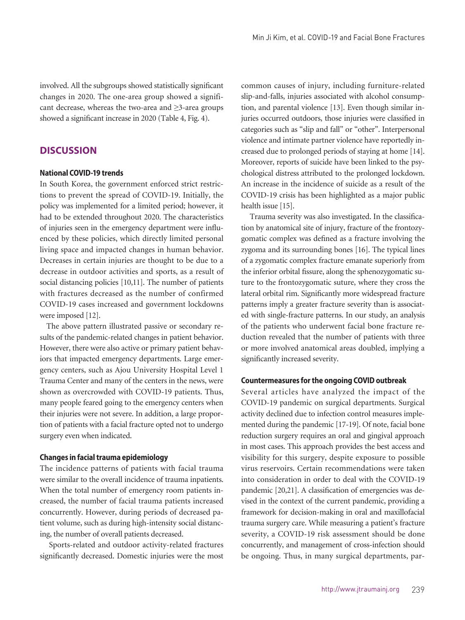involved. All the subgroups showed statistically significant changes in 2020. The one-area group showed a significant decrease, whereas the two-area and ≥3-area groups showed a significant increase in 2020 (Table 4, Fig. 4).

### **DISCUSSION**

### **National COVID-19 trends**

In South Korea, the government enforced strict restrictions to prevent the spread of COVID-19. Initially, the policy was implemented for a limited period; however, it had to be extended throughout 2020. The characteristics of injuries seen in the emergency department were influenced by these policies, which directly limited personal living space and impacted changes in human behavior. Decreases in certain injuries are thought to be due to a decrease in outdoor activities and sports, as a result of social distancing policies [10,11]. The number of patients with fractures decreased as the number of confirmed COVID-19 cases increased and government lockdowns were imposed [12].

The above pattern illustrated passive or secondary results of the pandemic-related changes in patient behavior. However, there were also active or primary patient behaviors that impacted emergency departments. Large emergency centers, such as Ajou University Hospital Level 1 Trauma Center and many of the centers in the news, were shown as overcrowded with COVID-19 patients. Thus, many people feared going to the emergency centers when their injuries were not severe. In addition, a large proportion of patients with a facial fracture opted not to undergo surgery even when indicated.

#### **Changes in facial trauma epidemiology**

The incidence patterns of patients with facial trauma were similar to the overall incidence of trauma inpatients. When the total number of emergency room patients increased, the number of facial trauma patients increased concurrently. However, during periods of decreased patient volume, such as during high-intensity social distancing, the number of overall patients decreased.

 Sports-related and outdoor activity-related fractures significantly decreased. Domestic injuries were the most

common causes of injury, including furniture-related slip-and-falls, injuries associated with alcohol consumption, and parental violence [13]. Even though similar injuries occurred outdoors, those injuries were classified in categories such as "slip and fall" or "other". Interpersonal violence and intimate partner violence have reportedly increased due to prolonged periods of staying at home [14]. Moreover, reports of suicide have been linked to the psychological distress attributed to the prolonged lockdown. An increase in the incidence of suicide as a result of the COVID-19 crisis has been highlighted as a major public health issue [15].

 Trauma severity was also investigated. In the classification by anatomical site of injury, fracture of the frontozygomatic complex was defined as a fracture involving the zygoma and its surrounding bones [16]. The typical lines of a zygomatic complex fracture emanate superiorly from the inferior orbital fissure, along the sphenozygomatic suture to the frontozygomatic suture, where they cross the lateral orbital rim. Significantly more widespread fracture patterns imply a greater fracture severity than is associated with single-fracture patterns. In our study, an analysis of the patients who underwent facial bone fracture reduction revealed that the number of patients with three or more involved anatomical areas doubled, implying a significantly increased severity.

#### **Countermeasures for the ongoing COVID outbreak**

Several articles have analyzed the impact of the COVID-19 pandemic on surgical departments. Surgical activity declined due to infection control measures implemented during the pandemic [17-19]. Of note, facial bone reduction surgery requires an oral and gingival approach in most cases. This approach provides the best access and visibility for this surgery, despite exposure to possible virus reservoirs. Certain recommendations were taken into consideration in order to deal with the COVID-19 pandemic [20,21]. A classification of emergencies was devised in the context of the current pandemic, providing a framework for decision-making in oral and maxillofacial trauma surgery care. While measuring a patient's fracture severity, a COVID-19 risk assessment should be done concurrently, and management of cross-infection should be ongoing. Thus, in many surgical departments, par-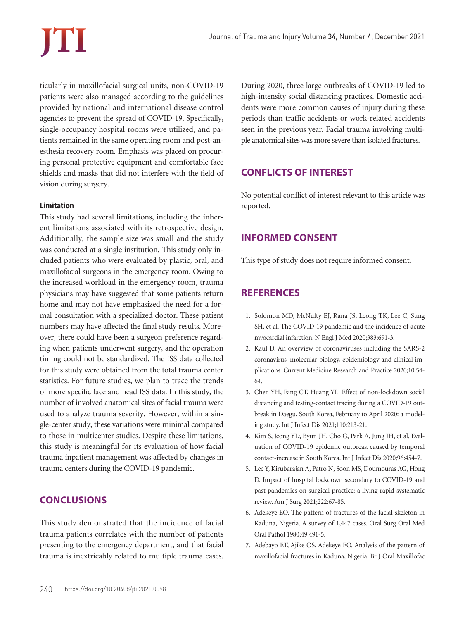ticularly in maxillofacial surgical units, non-COVID-19 patients were also managed according to the guidelines provided by national and international disease control agencies to prevent the spread of COVID-19. Specifically, single-occupancy hospital rooms were utilized, and patients remained in the same operating room and post-anesthesia recovery room. Emphasis was placed on procuring personal protective equipment and comfortable face shields and masks that did not interfere with the field of vision during surgery.

### **Limitation**

This study had several limitations, including the inherent limitations associated with its retrospective design. Additionally, the sample size was small and the study was conducted at a single institution. This study only included patients who were evaluated by plastic, oral, and maxillofacial surgeons in the emergency room. Owing to the increased workload in the emergency room, trauma physicians may have suggested that some patients return home and may not have emphasized the need for a formal consultation with a specialized doctor. These patient numbers may have affected the final study results. Moreover, there could have been a surgeon preference regarding when patients underwent surgery, and the operation timing could not be standardized. The ISS data collected for this study were obtained from the total trauma center statistics. For future studies, we plan to trace the trends of more specific face and head ISS data. In this study, the number of involved anatomical sites of facial trauma were used to analyze trauma severity. However, within a single-center study, these variations were minimal compared to those in multicenter studies. Despite these limitations, this study is meaningful for its evaluation of how facial trauma inpatient management was affected by changes in trauma centers during the COVID-19 pandemic.

# **CONCLUSIONS**

This study demonstrated that the incidence of facial trauma patients correlates with the number of patients presenting to the emergency department, and that facial trauma is inextricably related to multiple trauma cases. During 2020, three large outbreaks of COVID-19 led to high-intensity social distancing practices. Domestic accidents were more common causes of injury during these periods than traffic accidents or work-related accidents seen in the previous year. Facial trauma involving multiple anatomical sites was more severe than isolated fractures.

# **CONFLICTS OF INTEREST**

No potential conflict of interest relevant to this article was reported.

# **INFORMED CONSENT**

This type of study does not require informed consent.

# **REFERENCES**

- 1. Solomon MD, McNulty EJ, Rana JS, Leong TK, Lee C, Sung SH, et al. The COVID-19 pandemic and the incidence of acute myocardial infarction. N Engl J Med 2020;383:691-3.
- 2. Kaul D. An overview of coronaviruses including the SARS-2 coronavirus–molecular biology, epidemiology and clinical implications. Current Medicine Research and Practice 2020;10:54- 64.
- 3. Chen YH, Fang CT, Huang YL. Effect of non-lockdown social distancing and testing-contact tracing during a COVID-19 outbreak in Daegu, South Korea, February to April 2020: a modeling study. Int J Infect Dis 2021;110:213-21.
- 4. Kim S, Jeong YD, Byun JH, Cho G, Park A, Jung JH, et al. Evaluation of COVID-19 epidemic outbreak caused by temporal contact-increase in South Korea. Int J Infect Dis 2020;96:454-7.
- 5. Lee Y, Kirubarajan A, Patro N, Soon MS, Doumouras AG, Hong D. Impact of hospital lockdown secondary to COVID-19 and past pandemics on surgical practice: a living rapid systematic review. Am J Surg 2021;222:67-85.
- 6. Adekeye EO. The pattern of fractures of the facial skeleton in Kaduna, Nigeria. A survey of 1,447 cases. Oral Surg Oral Med Oral Pathol 1980;49:491-5.
- 7. Adebayo ET, Ajike OS, Adekeye EO. Analysis of the pattern of maxillofacial fractures in Kaduna, Nigeria. Br J Oral Maxillofac